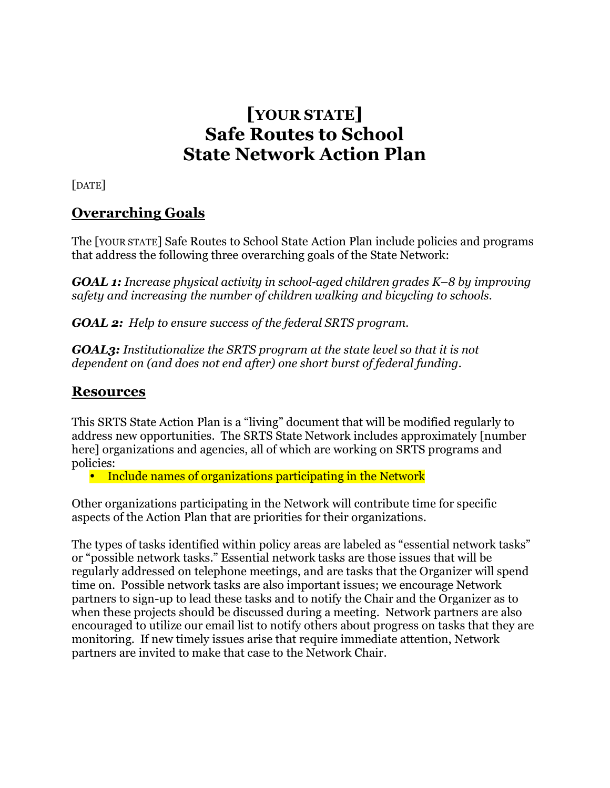# **[YOUR STATE] Safe Routes to School State Network Action Plan**

[DATE]

# **Overarching Goals**

The [YOUR STATE] Safe Routes to School State Action Plan include policies and programs that address the following three overarching goals of the State Network:

*GOAL 1: Increase physical activity in school-aged children grades K–8 by improving safety and increasing the number of children walking and bicycling to schools.*

*GOAL 2: Help to ensure success of the federal SRTS program.*

*GOAL3: Institutionalize the SRTS program at the state level so that it is not dependent on (and does not end after) one short burst of federal funding.*

### **Resources**

This SRTS State Action Plan is a "living" document that will be modified regularly to address new opportunities. The SRTS State Network includes approximately [number here] organizations and agencies, all of which are working on SRTS programs and policies:

• Include names of organizations participating in the Network

Other organizations participating in the Network will contribute time for specific aspects of the Action Plan that are priorities for their organizations.

The types of tasks identified within policy areas are labeled as "essential network tasks" or "possible network tasks." Essential network tasks are those issues that will be regularly addressed on telephone meetings, and are tasks that the Organizer will spend time on. Possible network tasks are also important issues; we encourage Network partners to sign-up to lead these tasks and to notify the Chair and the Organizer as to when these projects should be discussed during a meeting. Network partners are also encouraged to utilize our email list to notify others about progress on tasks that they are monitoring. If new timely issues arise that require immediate attention, Network partners are invited to make that case to the Network Chair.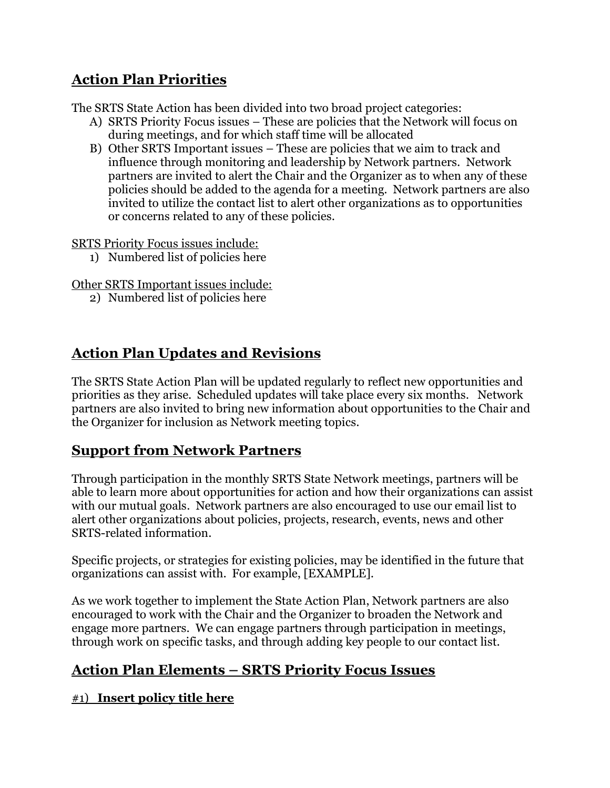# **Action Plan Priorities**

The SRTS State Action has been divided into two broad project categories:

- A) SRTS Priority Focus issues These are policies that the Network will focus on during meetings, and for which staff time will be allocated
- B) Other SRTS Important issues These are policies that we aim to track and influence through monitoring and leadership by Network partners. Network partners are invited to alert the Chair and the Organizer as to when any of these policies should be added to the agenda for a meeting. Network partners are also invited to utilize the contact list to alert other organizations as to opportunities or concerns related to any of these policies.

SRTS Priority Focus issues include:

1) Numbered list of policies here

Other SRTS Important issues include:

2) Numbered list of policies here

# **Action Plan Updates and Revisions**

The SRTS State Action Plan will be updated regularly to reflect new opportunities and priorities as they arise. Scheduled updates will take place every six months. Network partners are also invited to bring new information about opportunities to the Chair and the Organizer for inclusion as Network meeting topics.

# **Support from Network Partners**

Through participation in the monthly SRTS State Network meetings, partners will be able to learn more about opportunities for action and how their organizations can assist with our mutual goals. Network partners are also encouraged to use our email list to alert other organizations about policies, projects, research, events, news and other SRTS-related information.

Specific projects, or strategies for existing policies, may be identified in the future that organizations can assist with. For example, [EXAMPLE].

As we work together to implement the State Action Plan, Network partners are also encouraged to work with the Chair and the Organizer to broaden the Network and engage more partners. We can engage partners through participation in meetings, through work on specific tasks, and through adding key people to our contact list.

# **Action Plan Elements – SRTS Priority Focus Issues**

#### #1) **Insert policy title here**